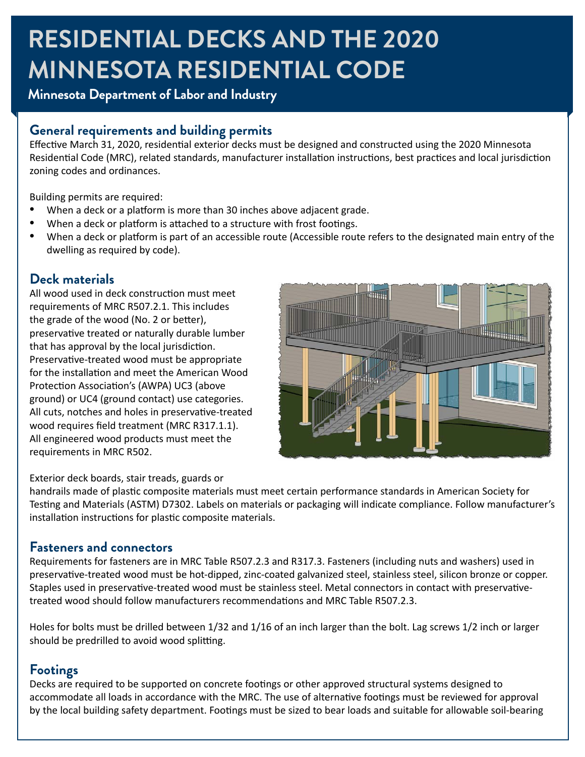## **RESIDENTIAL DECKS AND THE 2020 MINNESOTA RESIDENTIAL CODE**

### **Minnesota Department of Labor and Industry**

#### **General requirements and building permits**

Effective March 31, 2020, residential exterior decks must be designed and constructed using the 2020 Minnesota Residential Code (MRC), related standards, manufacturer installation instructions, best practices and local jurisdiction zoning codes and ordinances.

Building permits are required:

- When a deck or a platform is more than 30 inches above adjacent grade.
- When a deck or platform is attached to a structure with frost footings.
- When a deck or platform is part of an accessible route (Accessible route refers to the designated main entry of the dwelling as required by code).

#### **Deck materials**

All wood used in deck construction must meet requirements of MRC R507.2.1. This includes the grade of the wood (No. 2 or better), preservative treated or naturally durable lumber that has approval by the local jurisdiction. Preservative-treated wood must be appropriate for the installation and meet the American Wood Protection Association's (AWPA) UC3 (above ground) or UC4 (ground contact) use categories. All cuts, notches and holes in preservative-treated wood requires field treatment (MRC R317.1.1). All engineered wood products must meet the requirements in MRC R502.



#### Exterior deck boards, stair treads, guards or

handrails made of plastic composite materials must meet certain performance standards in American Society for Testing and Materials (ASTM) D7302. Labels on materials or packaging will indicate compliance. Follow manufacturer's installation instructions for plastic composite materials.

#### **Fasteners and connectors**

Requirements for fasteners are in MRC Table R507.2.3 and R317.3. Fasteners (including nuts and washers) used in preservative-treated wood must be hot-dipped, zinc-coated galvanized steel, stainless steel, silicon bronze or copper. Staples used in preservative-treated wood must be stainless steel. Metal connectors in contact with preservativetreated wood should follow manufacturers recommendations and MRC Table R507.2.3.

Holes for bolts must be drilled between 1/32 and 1/16 of an inch larger than the bolt. Lag screws 1/2 inch or larger should be predrilled to avoid wood splitting.

#### **Footings**

Decks are required to be supported on concrete footings or other approved structural systems designed to accommodate all loads in accordance with the MRC. The use of alternative footings must be reviewed for approval by the local building safety department. Footings must be sized to bear loads and suitable for allowable soil-bearing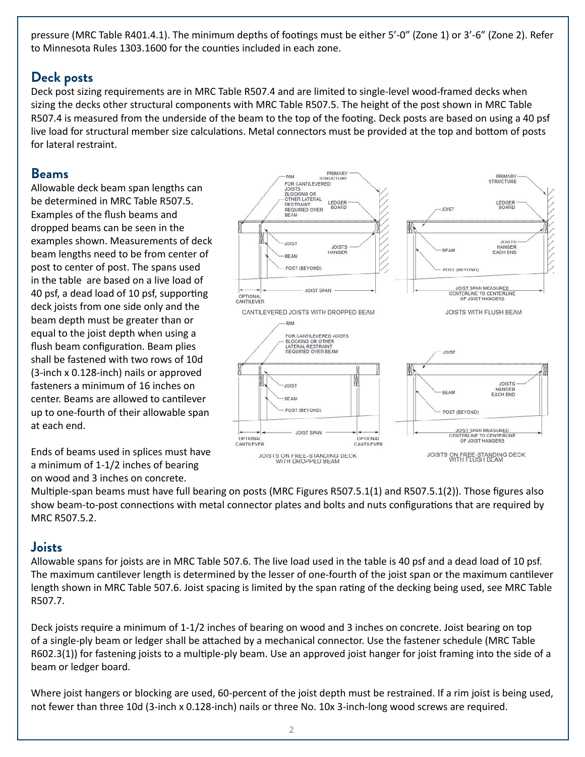pressure (MRC Table R401.4.1). The minimum depths of footings must be either 5'-0" (Zone 1) or 3'-6" (Zone 2). Refer to Minnesota Rules 1303.1600 for the counties included in each zone.

#### **Deck posts**

Deck post sizing requirements are in MRC Table R507.4 and are limited to single-level wood-framed decks when sizing the decks other structural components with MRC Table R507.5. The height of the post shown in MRC Table R507.4 is measured from the underside of the beam to the top of the footing. Deck posts are based on using a 40 psf live load for structural member size calculations. Metal connectors must be provided at the top and bottom of posts for lateral restraint.

#### **Beams**

Allowable deck beam span lengths can be determined in MRC Table R507.5. Examples of the flush beams and dropped beams can be seen in the examples shown. Measurements of deck beam lengths need to be from center of post to center of post. The spans used in the table are based on a live load of 40 psf, a dead load of 10 psf, supporting deck joists from one side only and the beam depth must be greater than or equal to the joist depth when using a flush beam configuration. Beam plies shall be fastened with two rows of 10d (3-inch x 0.128-inch) nails or approved fasteners a minimum of 16 inches on center. Beams are allowed to cantilever up to one-fourth of their allowable span at each end.

Ends of beams used in splices must have a minimum of 1-1/2 inches of bearing on wood and 3 inches on concrete.



Multiple-span beams must have full bearing on posts (MRC Figures R507.5.1(1) and R507.5.1(2)). Those figures also show beam-to-post connections with metal connector plates and bolts and nuts configurations that are required by MRC R507.5.2.

#### **Joists**

Allowable spans for joists are in MRC Table 507.6. The live load used in the table is 40 psf and a dead load of 10 psf. The maximum cantilever length is determined by the lesser of one-fourth of the joist span or the maximum cantilever length shown in MRC Table 507.6. Joist spacing is limited by the span rating of the decking being used, see MRC Table R507.7.

Deck joists require a minimum of 1-1/2 inches of bearing on wood and 3 inches on concrete. Joist bearing on top of a single-ply beam or ledger shall be attached by a mechanical connector. Use the fastener schedule (MRC Table R602.3(1)) for fastening joists to a multiple-ply beam. Use an approved joist hanger for joist framing into the side of a beam or ledger board.

Where joist hangers or blocking are used, 60-percent of the joist depth must be restrained. If a rim joist is being used, not fewer than three 10d (3-inch x 0.128-inch) nails or three No. 10x 3-inch-long wood screws are required.